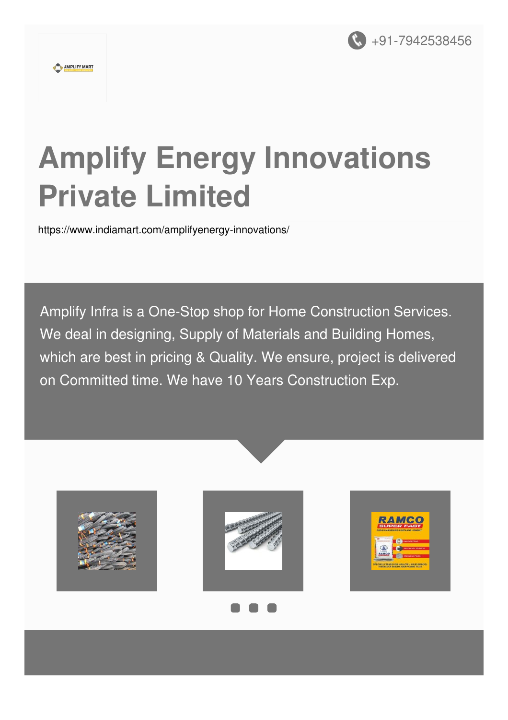

#### AMPLIFY MART

# **Amplify Energy Innovations Private Limited**

<https://www.indiamart.com/amplifyenergy-innovations/>

Amplify Infra is a One-Stop shop for Home Construction Services. We deal in designing, Supply of Materials and Building Homes, which are best in pricing & Quality. We ensure, project is delivered on Committed time. We have 10 Years Construction Exp.

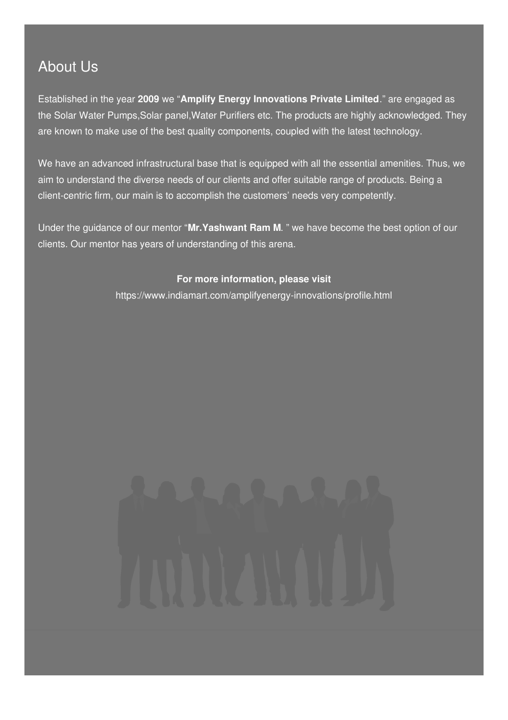## About Us

Established in the year **2009** we "**Amplify Energy Innovations Private Limited**." are engaged as the Solar Water Pumps,Solar panel,Water Purifiers etc. The products are highly acknowledged. They are known to make use of the best quality components, coupled with the latest technology.

We have an advanced infrastructural base that is equipped with all the essential amenities. Thus, we aim to understand the diverse needs of our clients and offer suitable range of products. Being a client-centric firm, our main is to accomplish the customers' needs very competently.

Under the guidance of our mentor "**Mr.Yashwant Ram M**. " we have become the best option of our clients. Our mentor has years of understanding of this arena.

#### **For more information, please visit**

<https://www.indiamart.com/amplifyenergy-innovations/profile.html>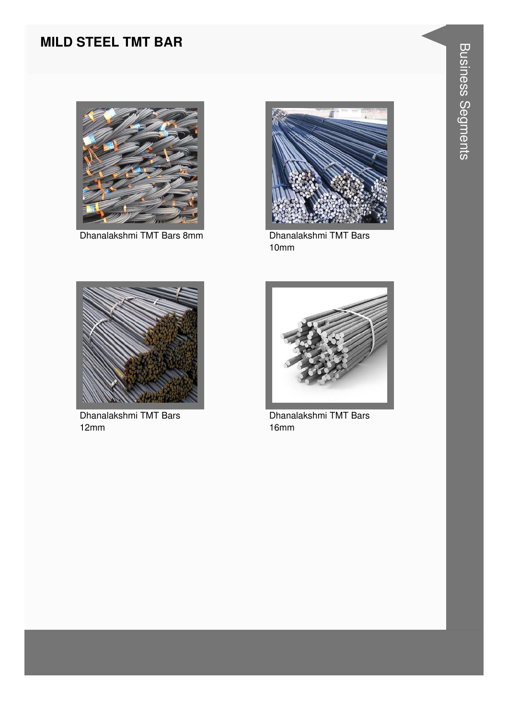#### **MILD STEEL TMT BAR**



Dhanalakshmi TMT Bars 8mm<br>
Dhanalakshmi TMT Bars



10mm



Dhanalakshmi TMT Bars 12mm



Dhanalakshmi TMT Bars 16mm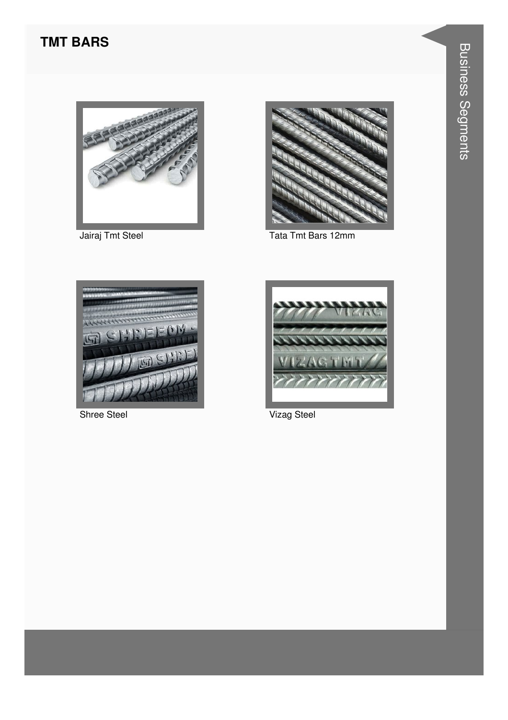#### **TMT BARS**



Jairaj Tmt Steel



Tata Tmt Bars 12mm



Shree Steel



Vizag Steel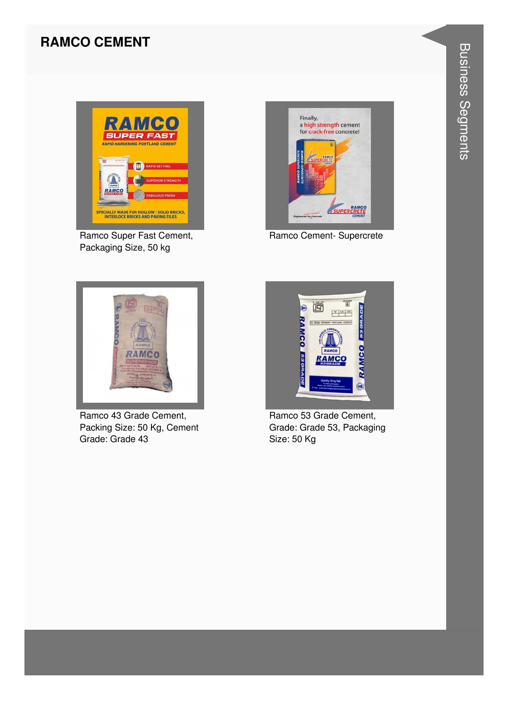#### **RAMCO CEMENT**



Ramco Super Fast Cement, Packaging Size, 50 kg



Ramco Cement- Supercrete



Ramco 43 Grade Cement, Packing Size: 50 Kg, Cement Grade: Grade 43



Ramco 53 Grade Cement, Grade: Grade 53, Packaging Size: 50 Kg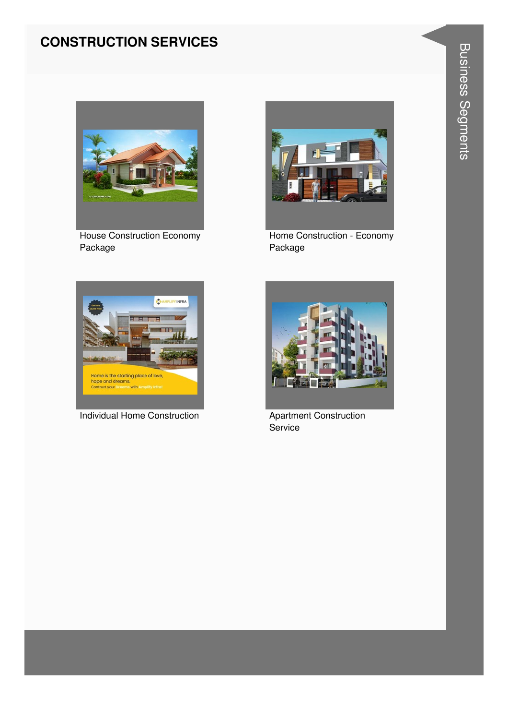#### **CONSTRUCTION SERVICES**



**House Construction Economy** Package



Home Construction - Economy Package



**Individual Home Construction** 



**Apartment Construction** Service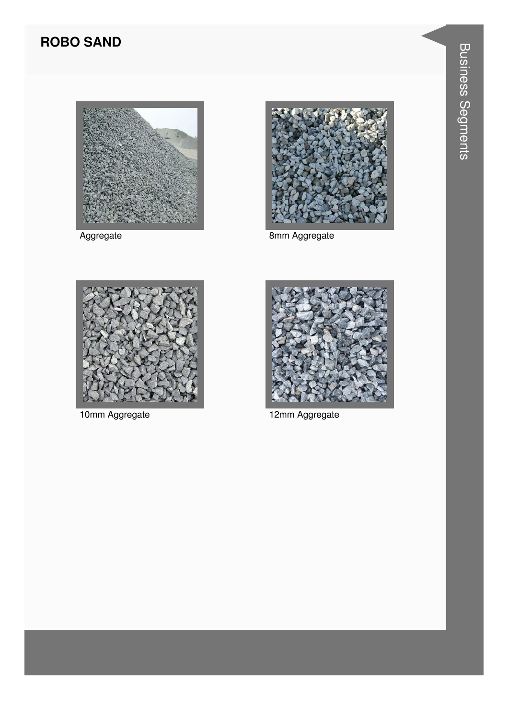### **ROBO SAND**





Aggregate **8mm Aggregate** 





10mm Aggregate 12mm Aggregate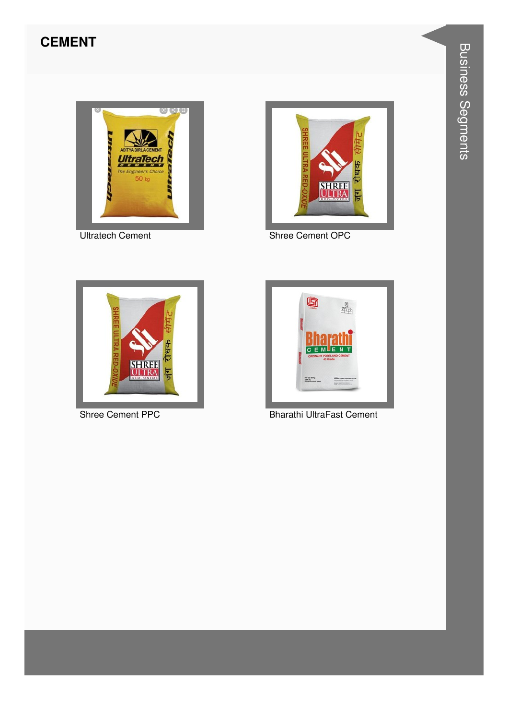#### **CEMENT**



**Ultratech Cement** 



Shree Cement OPC



Shree Cement PPC



**Bharathi UltraFast Cement**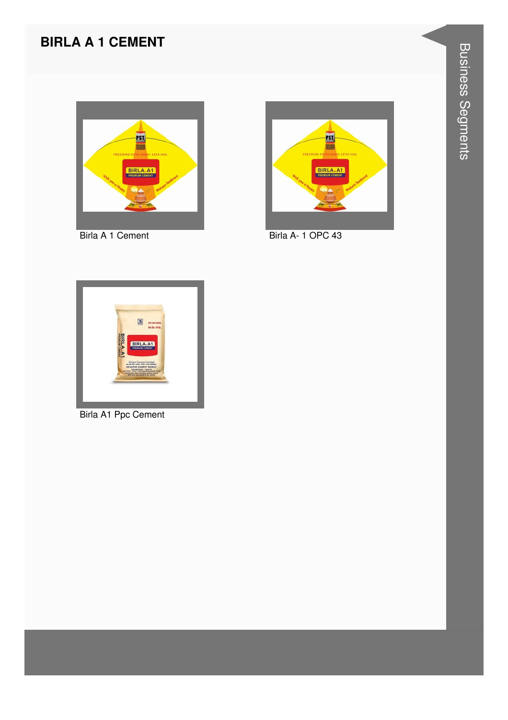#### **BIRLA A 1 CEMENT**



Birla A 1 Cement



Birla A-1 OPC 43



**Birla A1 Ppc Cement**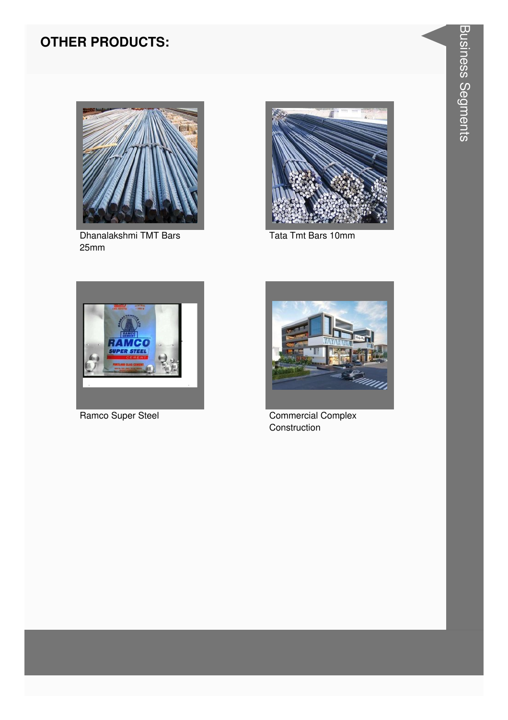### **OTHER PRODUCTS:**



Dhanalakshmi TMT Bars  $25mm$ 



Tata Tmt Bars 10mm



Ramco Super Steel



**Commercial Complex** Construction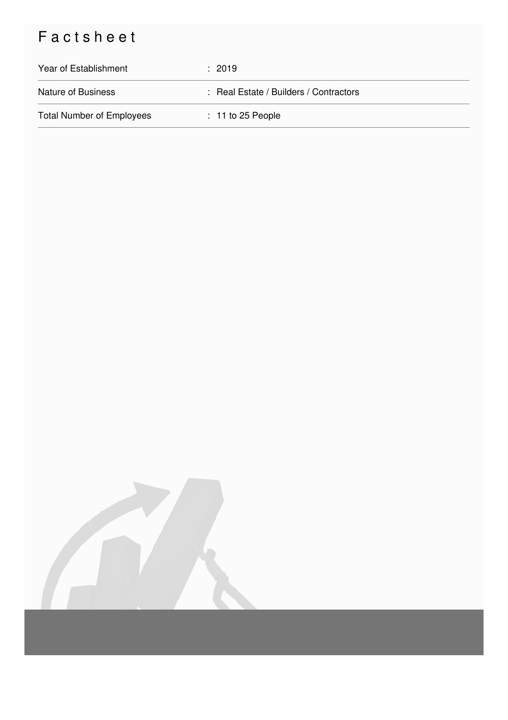# Factsheet

| Year of Establishment            | : 2019                                 |
|----------------------------------|----------------------------------------|
| <b>Nature of Business</b>        | : Real Estate / Builders / Contractors |
| <b>Total Number of Employees</b> | $: 11$ to 25 People                    |